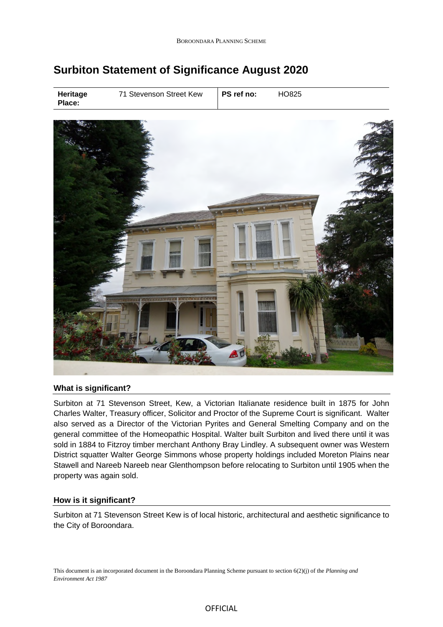# **Surbiton Statement of Significance August 2020**

|--|



## **What is significant?**

Surbiton at 71 Stevenson Street, Kew, a Victorian Italianate residence built in 1875 for John Charles Walter, Treasury officer, Solicitor and Proctor of the Supreme Court is significant. Walter also served as a Director of the Victorian Pyrites and General Smelting Company and on the general committee of the Homeopathic Hospital. Walter built Surbiton and lived there until it was sold in 1884 to Fitzroy timber merchant Anthony Bray Lindley. A subsequent owner was Western District squatter Walter George Simmons whose property holdings included Moreton Plains near Stawell and Nareeb Nareeb near Glenthompson before relocating to Surbiton until 1905 when the property was again sold.

#### **How is it significant?**

Surbiton at 71 Stevenson Street Kew is of local historic, architectural and aesthetic significance to the City of Boroondara.